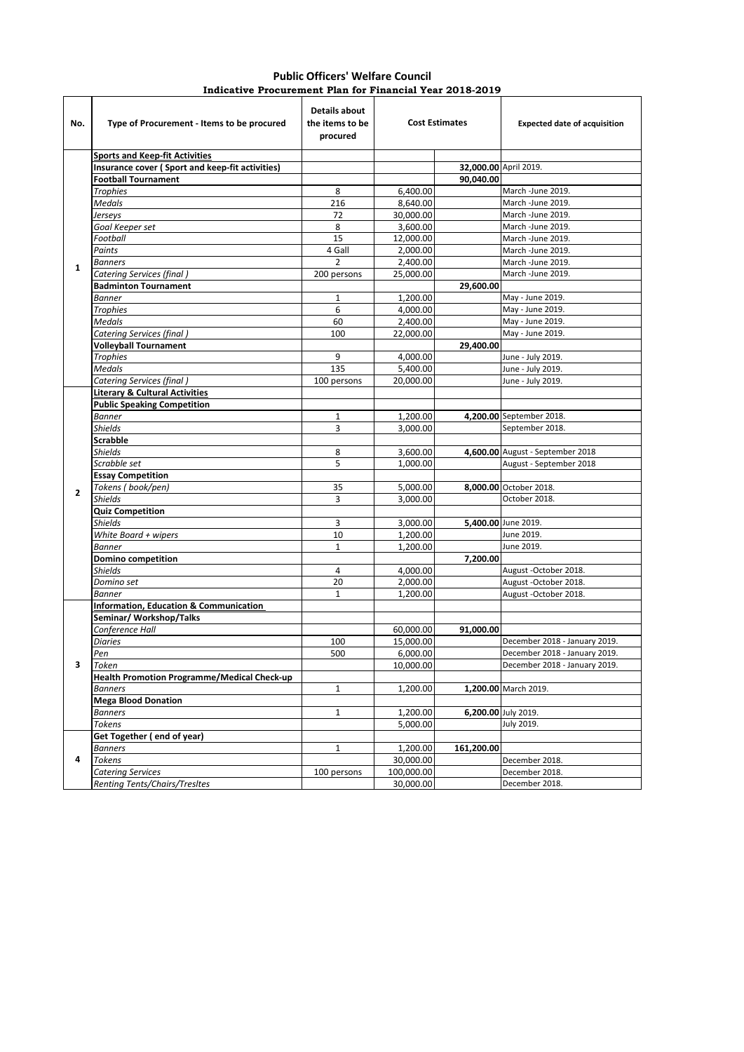| <b>Public Officers' Welfare Council</b> |  |  |                                                          |  |  |  |  |  |
|-----------------------------------------|--|--|----------------------------------------------------------|--|--|--|--|--|
|                                         |  |  | Indicative Procurement Plan for Financial Year 2018-2019 |  |  |  |  |  |

| No.          | Type of Procurement - Items to be procured         | <b>Details about</b><br>the items to be<br>procured | <b>Cost Estimates</b> |            | <b>Expected date of acquisition</b> |
|--------------|----------------------------------------------------|-----------------------------------------------------|-----------------------|------------|-------------------------------------|
|              | <b>Sports and Keep-fit Activities</b>              |                                                     |                       |            |                                     |
|              | Insurance cover (Sport and keep-fit activities)    |                                                     |                       |            | 32,000.00 April 2019.               |
|              | <b>Football Tournament</b>                         |                                                     |                       | 90,040.00  |                                     |
|              | <b>Trophies</b>                                    | 8                                                   | 6,400.00              |            | March -June 2019.                   |
|              | <b>Medals</b>                                      | 216                                                 | 8,640.00              |            | March -June 2019.                   |
|              | Jerseys                                            | 72                                                  | 30,000.00             |            | March -June 2019.                   |
|              | Goal Keeper set                                    | 8                                                   | 3,600.00              |            | March -June 2019.                   |
|              | Football                                           | 15                                                  | 12,000.00             |            | March -June 2019.                   |
|              | Paints                                             | 4 Gall                                              | 2,000.00              |            | March -June 2019.                   |
| $\mathbf{1}$ | <b>Banners</b>                                     | $\overline{2}$                                      | 2,400.00              |            | March -June 2019.                   |
|              | <b>Catering Services (final)</b>                   | 200 persons                                         | 25,000.00             |            | March -June 2019.                   |
|              | <b>Badminton Tournament</b>                        |                                                     |                       | 29,600.00  |                                     |
|              | <b>Banner</b>                                      | 1                                                   | 1,200.00              |            | May - June 2019.                    |
|              | <b>Trophies</b>                                    | 6                                                   | 4,000.00              |            | May - June 2019.                    |
|              | <b>Medals</b>                                      | 60                                                  | 2,400.00              |            | May - June 2019.                    |
|              | Catering Services (final)                          | 100                                                 | 22,000.00             |            | May - June 2019.                    |
|              | <b>Volleyball Tournament</b>                       |                                                     |                       | 29,400.00  |                                     |
|              | <b>Trophies</b>                                    | 9                                                   | 4,000.00              |            | June - July 2019.                   |
|              | <b>Medals</b>                                      | 135                                                 | 5,400.00              |            | June - July 2019.                   |
|              | Catering Services (final)                          | 100 persons                                         | 20,000.00             |            | June - July 2019.                   |
|              | <b>Literary &amp; Cultural Activities</b>          |                                                     |                       |            |                                     |
|              | <b>Public Speaking Competition</b>                 |                                                     |                       |            |                                     |
|              | <b>Banner</b>                                      | 1                                                   | 1,200.00              |            | 4,200.00 September 2018.            |
|              | <b>Shields</b>                                     | 3                                                   | 3,000.00              |            | September 2018.                     |
|              | <b>Scrabble</b>                                    |                                                     |                       |            |                                     |
|              | <b>Shields</b>                                     | 8                                                   | 3.600.00              |            | 4,600.00 August - September 2018    |
|              | Scrabble set                                       | 5                                                   | 1,000.00              |            | August - September 2018             |
|              | <b>Essay Competition</b>                           |                                                     |                       |            |                                     |
|              | Tokens (book/pen)                                  | 35                                                  | 5,000.00              |            | 8,000.00 October 2018.              |
| $\mathbf{2}$ | <b>Shields</b>                                     | 3                                                   | 3,000.00              |            | October 2018.                       |
|              | <b>Quiz Competition</b>                            |                                                     |                       |            |                                     |
|              | <b>Shields</b>                                     | 3                                                   | 3,000.00              |            | 5,400.00 June 2019.                 |
|              | White Board + wipers                               | 10                                                  | 1,200.00              |            | June 2019.                          |
|              |                                                    | $\mathbf{1}$                                        |                       |            | June 2019.                          |
|              | <b>Banner</b>                                      |                                                     | 1,200.00              |            |                                     |
|              | <b>Domino competition</b>                          |                                                     |                       | 7,200.00   |                                     |
|              | <b>Shields</b>                                     | 4                                                   | 4,000.00              |            | August -October 2018.               |
|              | Domino set                                         | 20                                                  | 2,000.00              |            | August -October 2018.               |
|              | <b>Banner</b>                                      | 1                                                   | 1,200.00              |            | August -October 2018.               |
|              | Information, Education & Communication             |                                                     |                       |            |                                     |
|              | Seminar/ Workshop/Talks                            |                                                     |                       |            |                                     |
|              | Conference Hall                                    |                                                     | 60,000.00             | 91,000.00  |                                     |
|              | <b>Diaries</b>                                     | 100                                                 | 15,000.00             |            | December 2018 - January 2019.       |
|              | Pen                                                | 500                                                 | 6.000.00              |            | December 2018 - January 2019.       |
| 3            | Token                                              |                                                     | 10,000.00             |            | December 2018 - January 2019.       |
|              | <b>Health Promotion Programme/Medical Check-up</b> |                                                     |                       |            |                                     |
|              | <b>Banners</b>                                     | 1                                                   | 1,200.00              |            | 1,200.00 March 2019.                |
|              | <b>Mega Blood Donation</b>                         |                                                     |                       |            |                                     |
|              | <b>Banners</b>                                     | $\mathbf{1}$                                        | 1,200.00              |            | 6,200.00 July 2019.                 |
|              | Tokens                                             |                                                     | 5,000.00              |            | July 2019.                          |
| 4            | Get Together (end of year)                         |                                                     |                       |            |                                     |
|              | <b>Banners</b>                                     | 1                                                   | 1,200.00              | 161,200.00 |                                     |
|              | <b>Tokens</b>                                      |                                                     | 30,000.00             |            | December 2018.                      |
|              | <b>Catering Services</b>                           | 100 persons                                         | 100,000.00            |            | December 2018.                      |
|              | Renting Tents/Chairs/Tresltes                      |                                                     | 30,000.00             |            | December 2018.                      |
|              |                                                    |                                                     |                       |            |                                     |